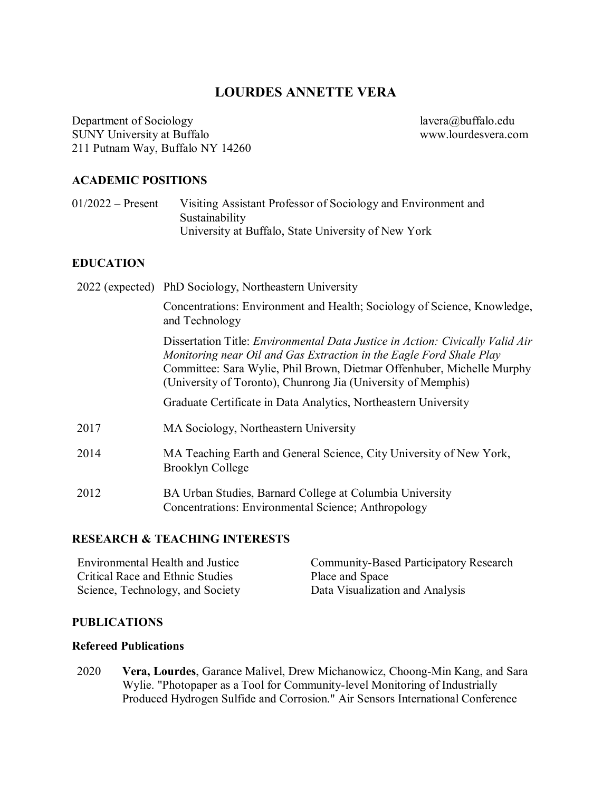# **LOURDES ANNETTE VERA**

Department of Sociology<br>
SUNY University at Buffalo<br>
SUNY University at Buffalo SUNY University at Buffalo 211 Putnam Way, Buffalo NY 14260

#### **ACADEMIC POSITIONS**

01/2022 – Present Visiting Assistant Professor of Sociology and Environment and Sustainability University at Buffalo, State University of New York

### **EDUCATION**

|      | 2022 (expected) PhD Sociology, Northeastern University                                                                                                                                                                                                                                                 |
|------|--------------------------------------------------------------------------------------------------------------------------------------------------------------------------------------------------------------------------------------------------------------------------------------------------------|
|      | Concentrations: Environment and Health; Sociology of Science, Knowledge,<br>and Technology                                                                                                                                                                                                             |
|      | Dissertation Title: <i>Environmental Data Justice in Action: Civically Valid Air</i><br>Monitoring near Oil and Gas Extraction in the Eagle Ford Shale Play<br>Committee: Sara Wylie, Phil Brown, Dietmar Offenhuber, Michelle Murphy<br>(University of Toronto), Chunrong Jia (University of Memphis) |
|      | Graduate Certificate in Data Analytics, Northeastern University                                                                                                                                                                                                                                        |
| 2017 | MA Sociology, Northeastern University                                                                                                                                                                                                                                                                  |
| 2014 | MA Teaching Earth and General Science, City University of New York,<br>Brooklyn College                                                                                                                                                                                                                |
| 2012 | BA Urban Studies, Barnard College at Columbia University<br>Concentrations: Environmental Science; Anthropology                                                                                                                                                                                        |

### **RESEARCH & TEACHING INTERESTS**

| <b>Environmental Health and Justice</b> | Community-Based Participatory Research |
|-----------------------------------------|----------------------------------------|
| Critical Race and Ethnic Studies        | Place and Space                        |
| Science, Technology, and Society        | Data Visualization and Analysis        |

# **PUBLICATIONS**

#### **Refereed Publications**

2020 **Vera, Lourdes**, Garance Malivel, Drew Michanowicz, Choong-Min Kang, and Sara Wylie. "Photopaper as a Tool for Community-level Monitoring of Industrially Produced Hydrogen Sulfide and Corrosion." Air Sensors International Conference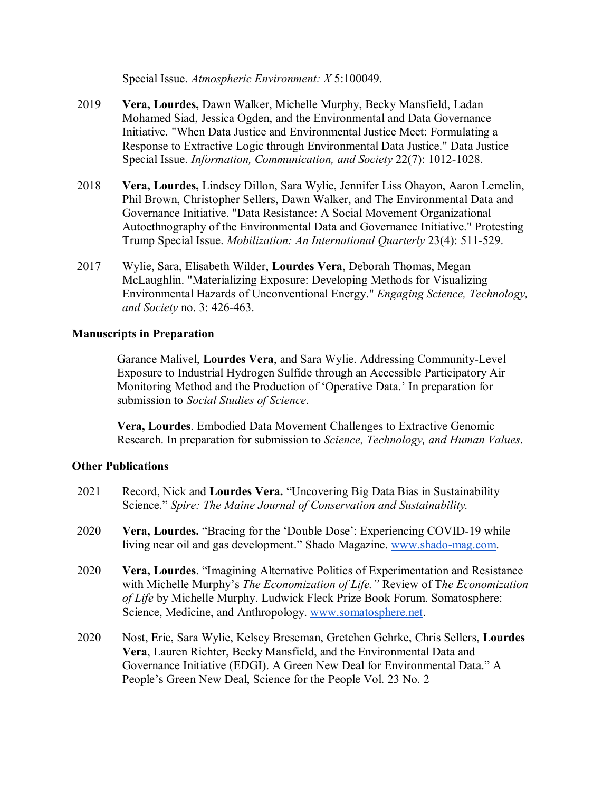Special Issue. *Atmospheric Environment: X* 5:100049.

- 2019 **Vera, Lourdes,** Dawn Walker, Michelle Murphy, Becky Mansfield, Ladan Mohamed Siad, Jessica Ogden, and the Environmental and Data Governance Initiative. "When Data Justice and Environmental Justice Meet: Formulating a Response to Extractive Logic through Environmental Data Justice." Data Justice Special Issue. *Information, Communication, and Society* 22(7): 1012-1028.
- 2018 **Vera, Lourdes,** Lindsey Dillon, Sara Wylie, Jennifer Liss Ohayon, Aaron Lemelin, Phil Brown, Christopher Sellers, Dawn Walker, and The Environmental Data and Governance Initiative. "Data Resistance: A Social Movement Organizational Autoethnography of the Environmental Data and Governance Initiative." Protesting Trump Special Issue. *Mobilization: An International Quarterly* 23(4): 511-529.
- 2017 Wylie, Sara, Elisabeth Wilder, **Lourdes Vera**, Deborah Thomas, Megan McLaughlin. "Materializing Exposure: Developing Methods for Visualizing Environmental Hazards of Unconventional Energy." *Engaging Science, Technology, and Society* no. 3: 426-463.

### **Manuscripts in Preparation**

Garance Malivel, **Lourdes Vera**, and Sara Wylie. Addressing Community-Level Exposure to Industrial Hydrogen Sulfide through an Accessible Participatory Air Monitoring Method and the Production of 'Operative Data.' In preparation for submission to *Social Studies of Science*.

**Vera, Lourdes**. Embodied Data Movement Challenges to Extractive Genomic Research. In preparation for submission to *Science, Technology, and Human Values*.

# **Other Publications**

| 2021 | Record, Nick and Lourdes Vera. "Uncovering Big Data Bias in Sustainability<br>Science." Spire: The Maine Journal of Conservation and Sustainability.                                                                                                                                                          |  |
|------|---------------------------------------------------------------------------------------------------------------------------------------------------------------------------------------------------------------------------------------------------------------------------------------------------------------|--|
| 2020 | Vera, Lourdes. "Bracing for the 'Double Dose': Experiencing COVID-19 while<br>living near oil and gas development." Shado Magazine. www.shado-mag.com.                                                                                                                                                        |  |
| 2020 | Vera, Lourdes. "Imagining Alternative Politics of Experimentation and Resistance<br>with Michelle Murphy's The Economization of Life." Review of The Economization<br>of Life by Michelle Murphy. Ludwick Fleck Prize Book Forum. Somatosphere:<br>Science, Medicine, and Anthropology. www.somatosphere.net. |  |
| 2020 | Nost, Eric, Sara Wylie, Kelsey Breseman, Gretchen Gehrke, Chris Sellers, Lourdes<br>Vera, Lauren Richter, Becky Mansfield, and the Environmental Data and                                                                                                                                                     |  |

Governance Initiative (EDGI). A Green New Deal for Environmental Data." A People's Green New Deal, Science for the People Vol. 23 No. 2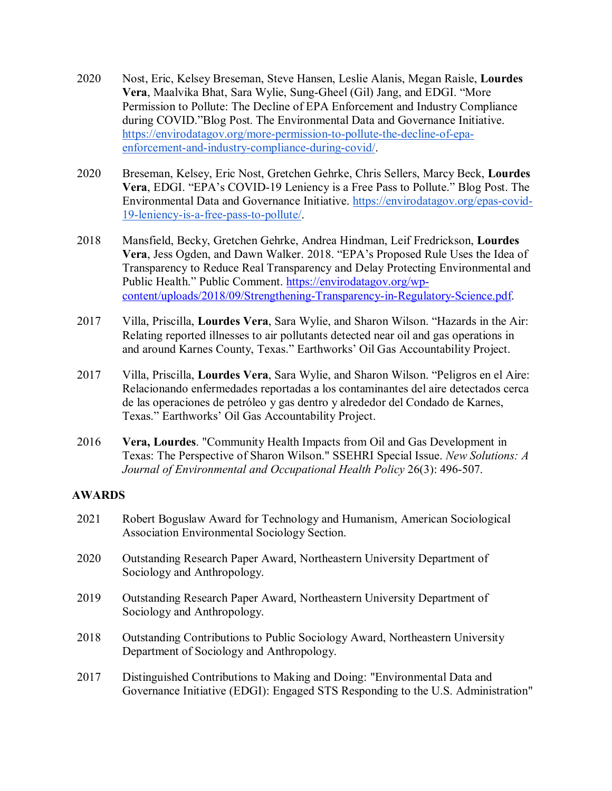- 2020 Nost, Eric, Kelsey Breseman, Steve Hansen, Leslie Alanis, Megan Raisle, **Lourdes Vera**, Maalvika Bhat, Sara Wylie, Sung-Gheel (Gil) Jang, and EDGI. "More Permission to Pollute: The Decline of EPA Enforcement and Industry Compliance during COVID."Blog Post. The Environmental Data and Governance Initiative. [https://envirodatagov.org/more-permission-to-pollute-the-decline-of-epa](https://envirodatagov.org/more-permission-to-pollute-the-decline-of-epa-enforcement-and-industry-compliance-during-covid/)[enforcement-and-industry-compliance-during-covid/.](https://envirodatagov.org/more-permission-to-pollute-the-decline-of-epa-enforcement-and-industry-compliance-during-covid/)
- 2020 Breseman, Kelsey, Eric Nost, Gretchen Gehrke, Chris Sellers, Marcy Beck, **Lourdes Vera**, EDGI. "EPA's COVID-19 Leniency is a Free Pass to Pollute." Blog Post. The Environmental Data and Governance Initiative. [https://envirodatagov.org/epas-covid-](https://envirodatagov.org/epas-covid-19-leniency-is-a-free-pass-to-pollute/)[19-leniency-is-a-free-pass-to-pollute/.](https://envirodatagov.org/epas-covid-19-leniency-is-a-free-pass-to-pollute/)
- 2018 Mansfield, Becky, Gretchen Gehrke, Andrea Hindman, Leif Fredrickson, **Lourdes Vera**, Jess Ogden, and Dawn Walker. 2018. "EPA's Proposed Rule Uses the Idea of Transparency to Reduce Real Transparency and Delay Protecting Environmental and Public Health." Public Comment. [https://envirodatagov.org/wp](https://envirodatagov.org/wp-content/uploads/2018/09/Strengthening-Transparency-in-Regulatory-Science.pdf)[content/uploads/2018/09/Strengthening-Transparency-in-Regulatory-Science.pdf.](https://envirodatagov.org/wp-content/uploads/2018/09/Strengthening-Transparency-in-Regulatory-Science.pdf)
- 2017 Villa, Priscilla, **Lourdes Vera**, Sara Wylie, and Sharon Wilson. "Hazards in the Air: Relating reported illnesses to air pollutants detected near oil and gas operations in and around Karnes County, Texas." Earthworks' Oil Gas Accountability Project.
- 2017 Villa, Priscilla, **Lourdes Vera**, Sara Wylie, and Sharon Wilson. "Peligros en el Aire: Relacionando enfermedades reportadas a los contaminantes del aire detectados cerca de las operaciones de petróleo y gas dentro y alrededor del Condado de Karnes, Texas." Earthworks' Oil Gas Accountability Project.
- 2016 **Vera, Lourdes**. "Community Health Impacts from Oil and Gas Development in Texas: The Perspective of Sharon Wilson." SSEHRI Special Issue. *New Solutions: A Journal of Environmental and Occupational Health Policy* 26(3): 496-507.

### **AWARDS**

- 2021 Robert Boguslaw Award for Technology and Humanism, American Sociological Association Environmental Sociology Section.
- 2020 Outstanding Research Paper Award, Northeastern University Department of Sociology and Anthropology.
- 2019 Outstanding Research Paper Award, Northeastern University Department of Sociology and Anthropology.
- 2018 Outstanding Contributions to Public Sociology Award, Northeastern University Department of Sociology and Anthropology.
- 2017 Distinguished Contributions to Making and Doing: "Environmental Data and Governance Initiative (EDGI): Engaged STS Responding to the U.S. Administration"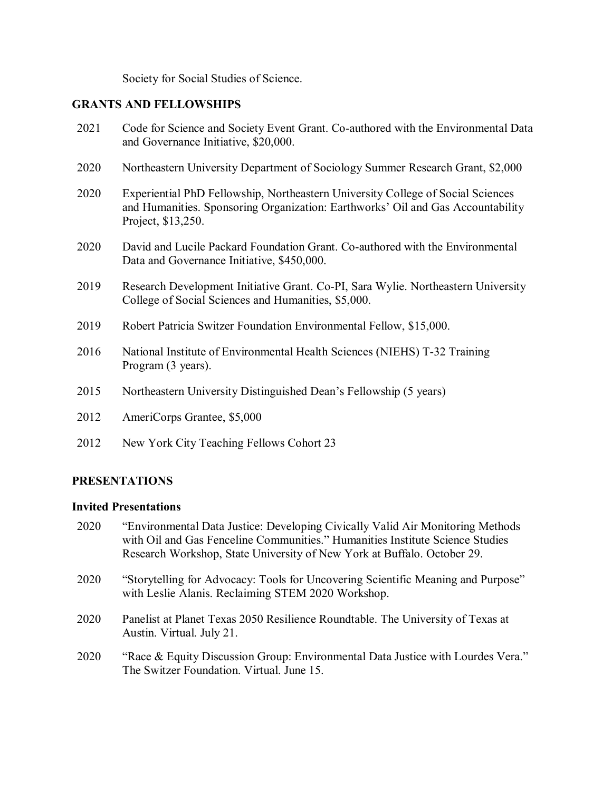Society for Social Studies of Science.

### **GRANTS AND FELLOWSHIPS**

- 2021 Code for Science and Society Event Grant. Co-authored with the Environmental Data and Governance Initiative, \$20,000.
- 2020 Northeastern University Department of Sociology Summer Research Grant, \$2,000
- 2020 Experiential PhD Fellowship, Northeastern University College of Social Sciences and Humanities. Sponsoring Organization: Earthworks' Oil and Gas Accountability Project, \$13,250.
- 2020 David and Lucile Packard Foundation Grant. Co-authored with the Environmental Data and Governance Initiative, \$450,000.
- 2019 Research Development Initiative Grant. Co-PI, Sara Wylie. Northeastern University College of Social Sciences and Humanities, \$5,000.
- 2019 Robert Patricia Switzer Foundation Environmental Fellow, \$15,000.
- 2016 National Institute of Environmental Health Sciences (NIEHS) T-32 Training Program (3 years).
- 2015 Northeastern University Distinguished Dean's Fellowship (5 years)
- 2012 AmeriCorps Grantee, \$5,000
- 2012 New York City Teaching Fellows Cohort 23

### **PRESENTATIONS**

#### **Invited Presentations**

- 2020 "Environmental Data Justice: Developing Civically Valid Air Monitoring Methods with Oil and Gas Fenceline Communities." Humanities Institute Science Studies Research Workshop, State University of New York at Buffalo. October 29.
- 2020 "Storytelling for Advocacy: Tools for Uncovering Scientific Meaning and Purpose" with Leslie Alanis. Reclaiming STEM 2020 Workshop.
- 2020 Panelist at Planet Texas 2050 Resilience Roundtable. The University of Texas at Austin. Virtual. July 21.
- 2020 "Race & Equity Discussion Group: Environmental Data Justice with Lourdes Vera." The Switzer Foundation. Virtual. June 15.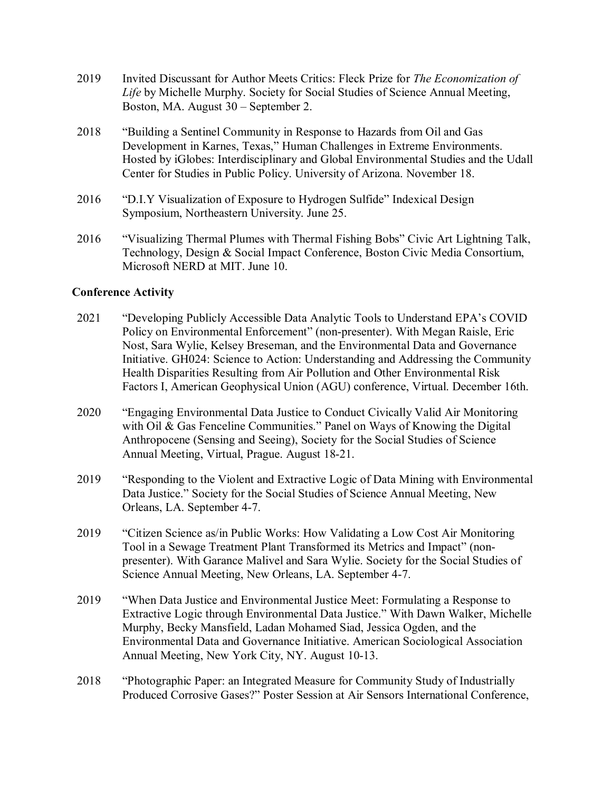- 2019 Invited Discussant for Author Meets Critics: Fleck Prize for *The Economization of Life* by Michelle Murphy. Society for Social Studies of Science Annual Meeting, Boston, MA. August 30 – September 2.
- 2018 "Building a Sentinel Community in Response to Hazards from Oil and Gas Development in Karnes, Texas," Human Challenges in Extreme Environments. Hosted by iGlobes: Interdisciplinary and Global Environmental Studies and the Udall Center for Studies in Public Policy. University of Arizona. November 18.
- 2016 "D.I.Y Visualization of Exposure to Hydrogen Sulfide" Indexical Design Symposium, Northeastern University. June 25.
- 2016 "Visualizing Thermal Plumes with Thermal Fishing Bobs" Civic Art Lightning Talk, Technology, Design & Social Impact Conference, Boston Civic Media Consortium, Microsoft NERD at MIT. June 10.

### **Conference Activity**

- 2021 "Developing Publicly Accessible Data Analytic Tools to Understand EPA's COVID Policy on Environmental Enforcement" (non-presenter). With Megan Raisle, Eric Nost, Sara Wylie, Kelsey Breseman, and the Environmental Data and Governance Initiative. GH024: Science to Action: Understanding and Addressing the Community Health Disparities Resulting from Air Pollution and Other Environmental Risk Factors I, American Geophysical Union (AGU) conference, Virtual. December 16th.
- 2020 "Engaging Environmental Data Justice to Conduct Civically Valid Air Monitoring with Oil & Gas Fenceline Communities." Panel on Ways of Knowing the Digital Anthropocene (Sensing and Seeing), Society for the Social Studies of Science Annual Meeting, Virtual, Prague. August 18-21.
- 2019 "Responding to the Violent and Extractive Logic of Data Mining with Environmental Data Justice." Society for the Social Studies of Science Annual Meeting, New Orleans, LA. September 4-7.
- 2019 "Citizen Science as/in Public Works: How Validating a Low Cost Air Monitoring Tool in a Sewage Treatment Plant Transformed its Metrics and Impact" (nonpresenter). With Garance Malivel and Sara Wylie. Society for the Social Studies of Science Annual Meeting, New Orleans, LA. September 4-7.
- 2019 "When Data Justice and Environmental Justice Meet: Formulating a Response to Extractive Logic through Environmental Data Justice." With Dawn Walker, Michelle Murphy, Becky Mansfield, Ladan Mohamed Siad, Jessica Ogden, and the Environmental Data and Governance Initiative. American Sociological Association Annual Meeting, New York City, NY. August 10-13.
- 2018 "Photographic Paper: an Integrated Measure for Community Study of Industrially Produced Corrosive Gases?" Poster Session at Air Sensors International Conference,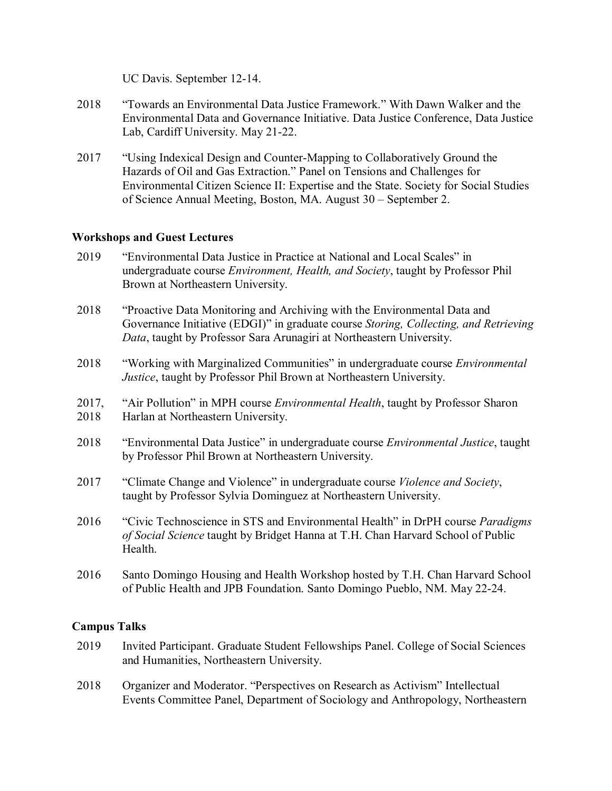UC Davis. September 12-14.

- 2018 "Towards an Environmental Data Justice Framework." With Dawn Walker and the Environmental Data and Governance Initiative. Data Justice Conference, Data Justice Lab, Cardiff University. May 21-22.
- 2017 "Using Indexical Design and Counter-Mapping to Collaboratively Ground the Hazards of Oil and Gas Extraction." Panel on Tensions and Challenges for Environmental Citizen Science II: Expertise and the State. Society for Social Studies of Science Annual Meeting, Boston, MA. August 30 – September 2.

### **Workshops and Guest Lectures**

- 2019 "Environmental Data Justice in Practice at National and Local Scales" in undergraduate course *Environment, Health, and Society*, taught by Professor Phil Brown at Northeastern University.
- 2018 "Proactive Data Monitoring and Archiving with the Environmental Data and Governance Initiative (EDGI)" in graduate course *Storing, Collecting, and Retrieving Data*, taught by Professor Sara Arunagiri at Northeastern University.
- 2018 "Working with Marginalized Communities" in undergraduate course *Environmental Justice*, taught by Professor Phil Brown at Northeastern University.
- 2017, 2018 "Air Pollution" in MPH course *Environmental Health*, taught by Professor Sharon Harlan at Northeastern University.
- 2018 "Environmental Data Justice" in undergraduate course *Environmental Justice*, taught by Professor Phil Brown at Northeastern University.
- 2017 "Climate Change and Violence" in undergraduate course *Violence and Society*, taught by Professor Sylvia Dominguez at Northeastern University.
- 2016 "Civic Technoscience in STS and Environmental Health" in DrPH course *Paradigms of Social Science* taught by Bridget Hanna at T.H. Chan Harvard School of Public Health.
- 2016 Santo Domingo Housing and Health Workshop hosted by T.H. Chan Harvard School of Public Health and JPB Foundation. Santo Domingo Pueblo, NM. May 22-24.

### **Campus Talks**

- 2019 Invited Participant. Graduate Student Fellowships Panel. College of Social Sciences and Humanities, Northeastern University.
- 2018 Organizer and Moderator. "Perspectives on Research as Activism" Intellectual Events Committee Panel, Department of Sociology and Anthropology, Northeastern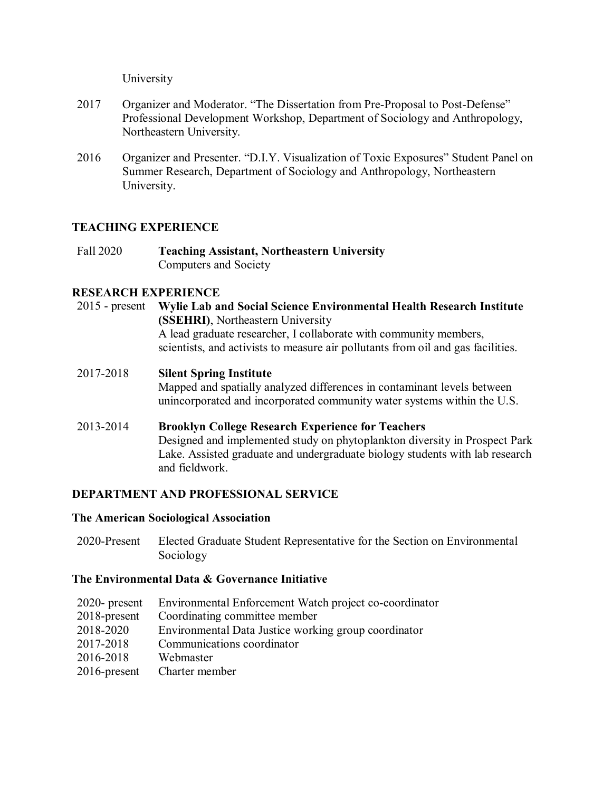University

- 2017 Organizer and Moderator. "The Dissertation from Pre-Proposal to Post-Defense" Professional Development Workshop, Department of Sociology and Anthropology, Northeastern University.
- 2016 Organizer and Presenter. "D.I.Y. Visualization of Toxic Exposures" Student Panel on Summer Research, Department of Sociology and Anthropology, Northeastern University.

### **TEACHING EXPERIENCE**

Fall 2020 **Teaching Assistant, Northeastern University**  Computers and Society

### **RESEARCH EXPERIENCE**

- 2015 present **Wylie Lab and Social Science Environmental Health Research Institute (SSEHRI)**, Northeastern University A lead graduate researcher, I collaborate with community members, scientists, and activists to measure air pollutants from oil and gas facilities.
- 2017-2018 **Silent Spring Institute** Mapped and spatially analyzed differences in contaminant levels between unincorporated and incorporated community water systems within the U.S.
- 2013-2014 **Brooklyn College Research Experience for Teachers** Designed and implemented study on phytoplankton diversity in Prospect Park Lake. Assisted graduate and undergraduate biology students with lab research and fieldwork.

# **DEPARTMENT AND PROFESSIONAL SERVICE**

### **The American Sociological Association**

2020-Present Elected Graduate Student Representative for the Section on Environmental Sociology

### **The Environmental Data & Governance Initiative**

- 2020- present Environmental Enforcement Watch project co-coordinator
- 2018-present Coordinating committee member
- 2018-2020 Environmental Data Justice working group coordinator
- 2017-2018 Communications coordinator
- 2016-2018 Webmaster
- 2016-present Charter member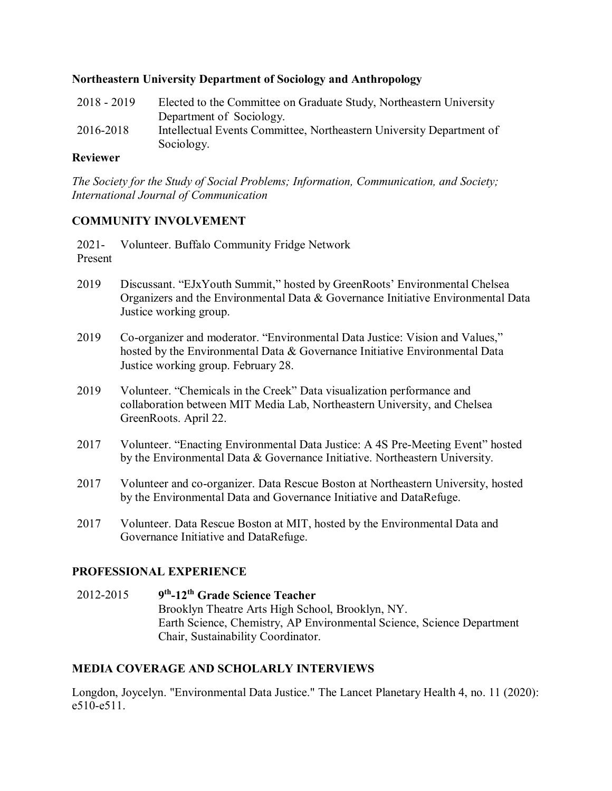### **Northeastern University Department of Sociology and Anthropology**

2018 - 2019 Elected to the Committee on Graduate Study, Northeastern University Department of Sociology. 2016-2018 Intellectual Events Committee, Northeastern University Department of Sociology.

### **Reviewer**

*The Society for the Study of Social Problems; Information, Communication, and Society; International Journal of Communication*

# **COMMUNITY INVOLVEMENT**

2021- Present Volunteer. Buffalo Community Fridge Network

- 2019 Discussant. "EJxYouth Summit," hosted by GreenRoots' Environmental Chelsea Organizers and the Environmental Data & Governance Initiative Environmental Data Justice working group.
- 2019 Co-organizer and moderator. "Environmental Data Justice: Vision and Values," hosted by the Environmental Data & Governance Initiative Environmental Data Justice working group. February 28.
- 2019 Volunteer. "Chemicals in the Creek" Data visualization performance and collaboration between MIT Media Lab, Northeastern University, and Chelsea GreenRoots. April 22.
- 2017 Volunteer. "Enacting Environmental Data Justice: A 4S Pre-Meeting Event" hosted by the Environmental Data & Governance Initiative. Northeastern University.
- 2017 Volunteer and co-organizer. Data Rescue Boston at Northeastern University, hosted by the Environmental Data and Governance Initiative and DataRefuge.
- 2017 Volunteer. Data Rescue Boston at MIT, hosted by the Environmental Data and Governance Initiative and DataRefuge.

# **PROFESSIONAL EXPERIENCE**

2012-2015 **9th-12th Grade Science Teacher**  Brooklyn Theatre Arts High School, Brooklyn, NY. Earth Science, Chemistry, AP Environmental Science, Science Department Chair, Sustainability Coordinator.

# **MEDIA COVERAGE AND SCHOLARLY INTERVIEWS**

Longdon, Joycelyn. "Environmental Data Justice." The Lancet Planetary Health 4, no. 11 (2020): e510-e511.